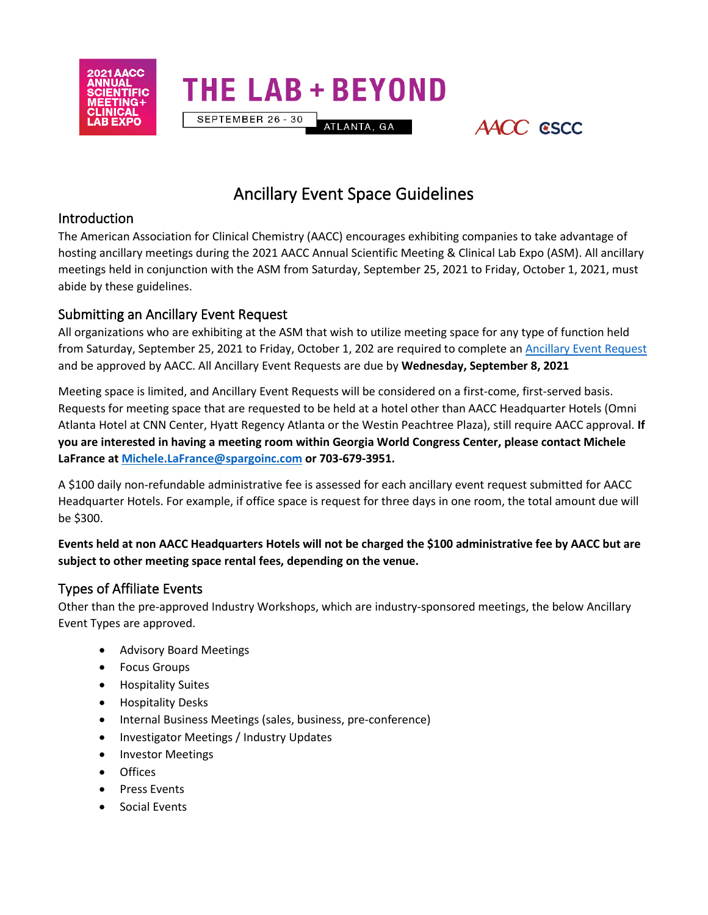

Ancillary Event Space Guidelines

ATLANTA, GA

AACC CSCC

**THE LAB + BEYOND** 

SEPTEMBER 26 - 30

## Introduction

The American Association for Clinical Chemistry (AACC) encourages exhibiting companies to take advantage of hosting ancillary meetings during the 2021 AACC Annual Scientific Meeting & Clinical Lab Expo (ASM). All ancillary meetings held in conjunction with the ASM from Saturday, September 25, 2021 to Friday, October 1, 2021, must abide by these guidelines.

## Submitting an Ancillary Event Request

All organizations who are exhibiting at the ASM that wish to utilize meeting space for any type of function held from Saturday, September 25, 2021 to Friday, October 1, 202 are required to complete a[n Ancillary Event Request](https://s6.goeshow.com/aacchem/annual/2021/affiliate_meetingform.cfm) and be approved by AACC. All Ancillary Event Requests are due by **Wednesday, September 8, 2021**

Meeting space is limited, and Ancillary Event Requests will be considered on a first-come, first-served basis. Requests for meeting space that are requested to be held at a hotel other than AACC Headquarter Hotels (Omni Atlanta Hotel at CNN Center, Hyatt Regency Atlanta or the Westin Peachtree Plaza), still require AACC approval. **If you are interested in having a meeting room within Georgia World Congress Center, please contact Michele LaFrance at [Michele.LaFrance@spargoinc.com](mailto:Michele.LaFrance@spargoinc.com) or 703-679-3951.** 

A \$100 daily non-refundable administrative fee is assessed for each ancillary event request submitted for AACC Headquarter Hotels. For example, if office space is request for three days in one room, the total amount due will be \$300.

#### **Events held at non AACC Headquarters Hotels will not be charged the \$100 administrative fee by AACC but are subject to other meeting space rental fees, depending on the venue.**

## Types of Affiliate Events

Other than the pre-approved Industry Workshops, which are industry-sponsored meetings, the below Ancillary Event Types are approved.

- Advisory Board Meetings
- Focus Groups
- Hospitality Suites
- Hospitality Desks
- Internal Business Meetings (sales, business, pre-conference)
- Investigator Meetings / Industry Updates
- Investor Meetings
- Offices
- Press Events
- Social Events